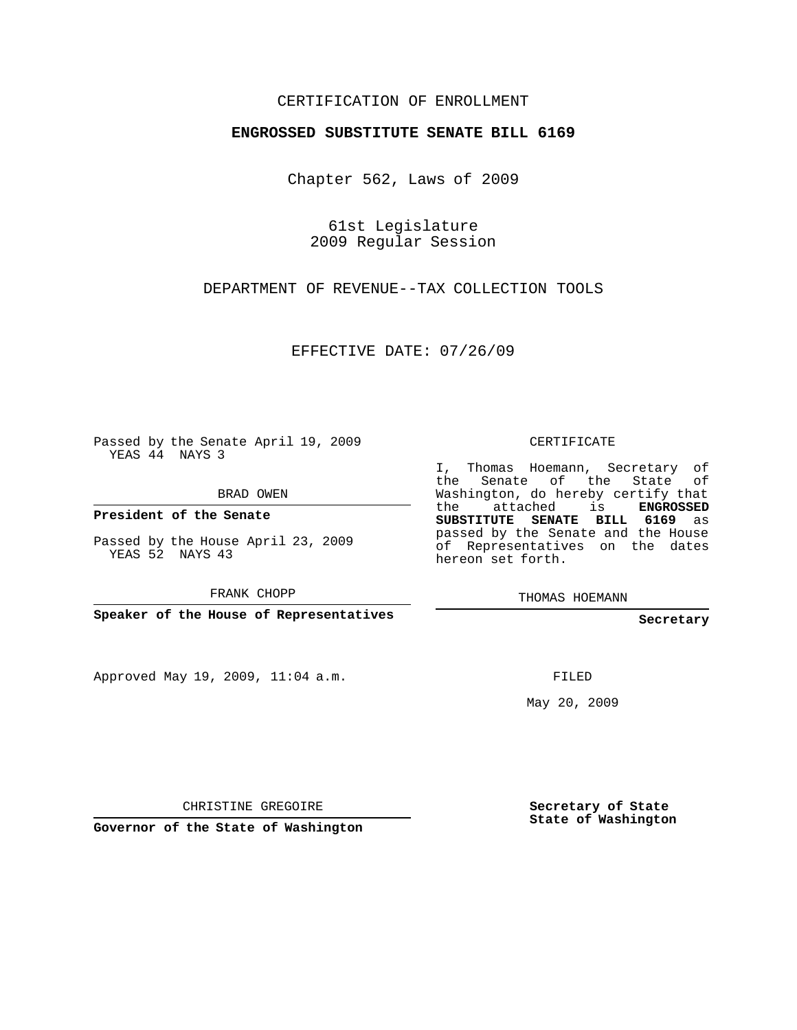## CERTIFICATION OF ENROLLMENT

## **ENGROSSED SUBSTITUTE SENATE BILL 6169**

Chapter 562, Laws of 2009

61st Legislature 2009 Regular Session

DEPARTMENT OF REVENUE--TAX COLLECTION TOOLS

EFFECTIVE DATE: 07/26/09

Passed by the Senate April 19, 2009 YEAS 44 NAYS 3

BRAD OWEN

**President of the Senate**

Passed by the House April 23, 2009 YEAS 52 NAYS 43

FRANK CHOPP

**Speaker of the House of Representatives**

Approved May 19, 2009, 11:04 a.m.

CERTIFICATE

I, Thomas Hoemann, Secretary of the Senate of the State of Washington, do hereby certify that the attached is **ENGROSSED SUBSTITUTE SENATE BILL 6169** as passed by the Senate and the House of Representatives on the dates hereon set forth.

THOMAS HOEMANN

**Secretary**

FILED

May 20, 2009

CHRISTINE GREGOIRE

**Governor of the State of Washington**

**Secretary of State State of Washington**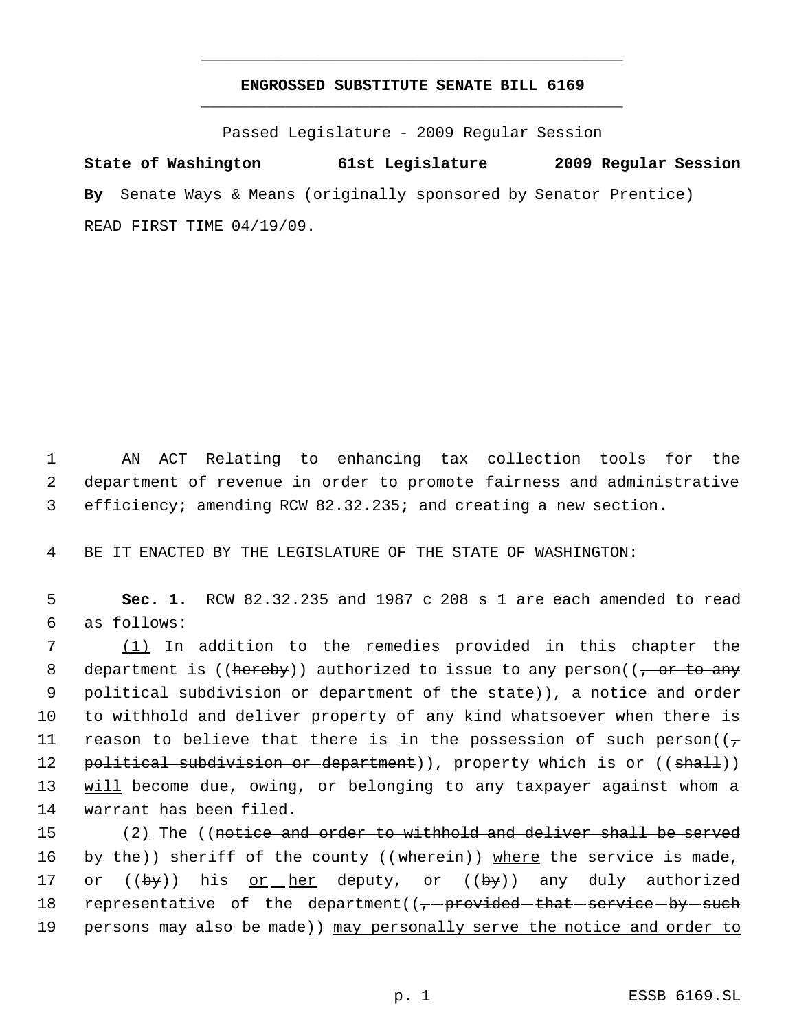## **ENGROSSED SUBSTITUTE SENATE BILL 6169** \_\_\_\_\_\_\_\_\_\_\_\_\_\_\_\_\_\_\_\_\_\_\_\_\_\_\_\_\_\_\_\_\_\_\_\_\_\_\_\_\_\_\_\_\_

\_\_\_\_\_\_\_\_\_\_\_\_\_\_\_\_\_\_\_\_\_\_\_\_\_\_\_\_\_\_\_\_\_\_\_\_\_\_\_\_\_\_\_\_\_

Passed Legislature - 2009 Regular Session

**State of Washington 61st Legislature 2009 Regular Session By** Senate Ways & Means (originally sponsored by Senator Prentice) READ FIRST TIME 04/19/09.

 1 AN ACT Relating to enhancing tax collection tools for the 2 department of revenue in order to promote fairness and administrative 3 efficiency; amending RCW 82.32.235; and creating a new section.

4 BE IT ENACTED BY THE LEGISLATURE OF THE STATE OF WASHINGTON:

 5 **Sec. 1.** RCW 82.32.235 and 1987 c 208 s 1 are each amended to read 6 as follows:

 7 (1) In addition to the remedies provided in this chapter the 8 department is ((hereby)) authorized to issue to any person((, or to any 9 political subdivision or department of the state)), a notice and order 10 to withhold and deliver property of any kind whatsoever when there is 11 reason to believe that there is in the possession of such person( $(\tau)$ 12 political subdivision or department)), property which is or ((shall)) 13 will become due, owing, or belonging to any taxpayer against whom a 14 warrant has been filed.

15 (2) The ((notice and order to withhold and deliver shall be served 16 by the)) sheriff of the county ((wherein)) where the service is made, 17 or  $((by))$  his or her deputy, or  $((by))$  any duly authorized 18 representative of the department( $(-$ -provided-that-service-by-such 19 persons may also be made)) may personally serve the notice and order to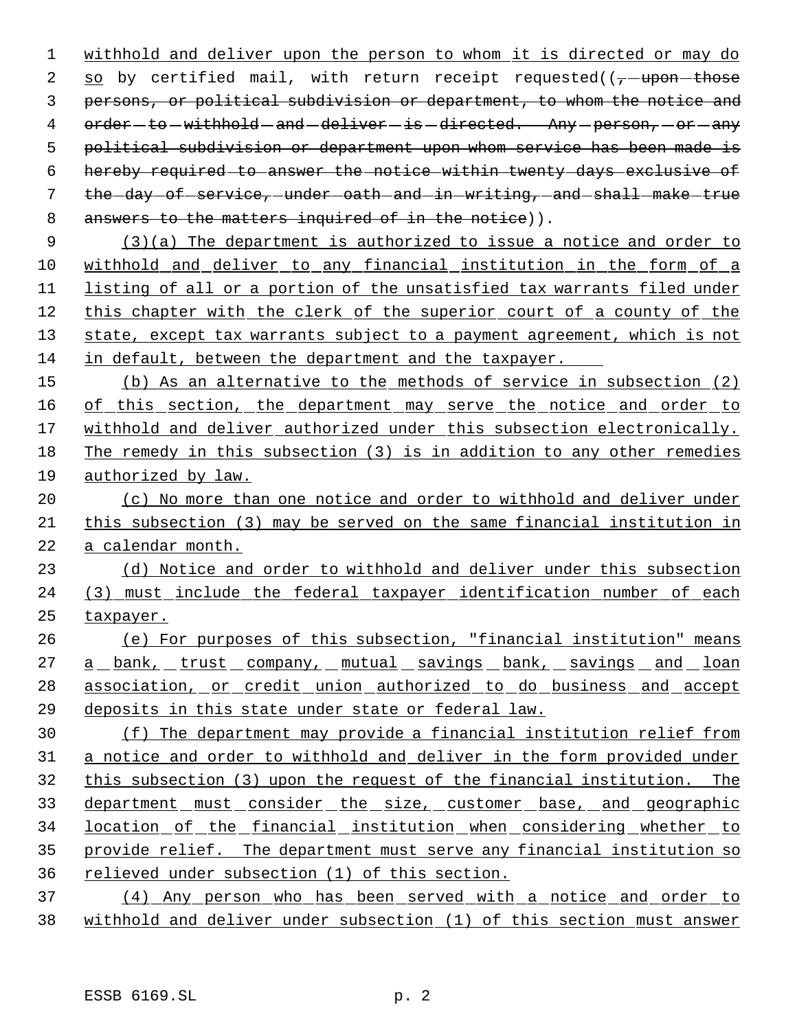withhold and deliver upon the person to whom it is directed or may do 2 so by certified mail, with return receipt requested( $(-$ -upon-those persons, or political subdivision or department, to whom the notice and 4 order-to-withhold-and-deliver-is-directed. Any-person,-or-any political subdivision or department upon whom service has been made is hereby required to answer the notice within twenty days exclusive of 7 the day of service, under oath and in writing, and shall make true 8 answers to the matters inquired of in the notice)).

 (3)(a) The department is authorized to issue a notice and order to withhold and deliver to any financial institution in the form of a listing of all or a portion of the unsatisfied tax warrants filed under this chapter with the clerk of the superior court of a county of the 13 state, except tax warrants subject to a payment agreement, which is not in default, between the department and the taxpayer.

 (b) As an alternative to the methods of service in subsection (2) 16 of this section, the department may serve the notice and order to withhold and deliver authorized under this subsection electronically. The remedy in this subsection (3) is in addition to any other remedies authorized by law.

 (c) No more than one notice and order to withhold and deliver under this subsection (3) may be served on the same financial institution in a calendar month.

 (d) Notice and order to withhold and deliver under this subsection (3) must include the federal taxpayer identification number of each taxpayer.

 (e) For purposes of this subsection, "financial institution" means 27 a bank, trust company, mutual savings bank, savings and loan 28 association, or credit union authorized to do business and accept deposits in this state under state or federal law.

 (f) The department may provide a financial institution relief from a notice and order to withhold and deliver in the form provided under this subsection (3) upon the request of the financial institution. The 33 department must consider the size, customer base, and geographic location of the financial institution when considering whether to provide relief. The department must serve any financial institution so relieved under subsection (1) of this section.

 (4) Any person who has been served with a notice and order to withhold and deliver under subsection (1) of this section must answer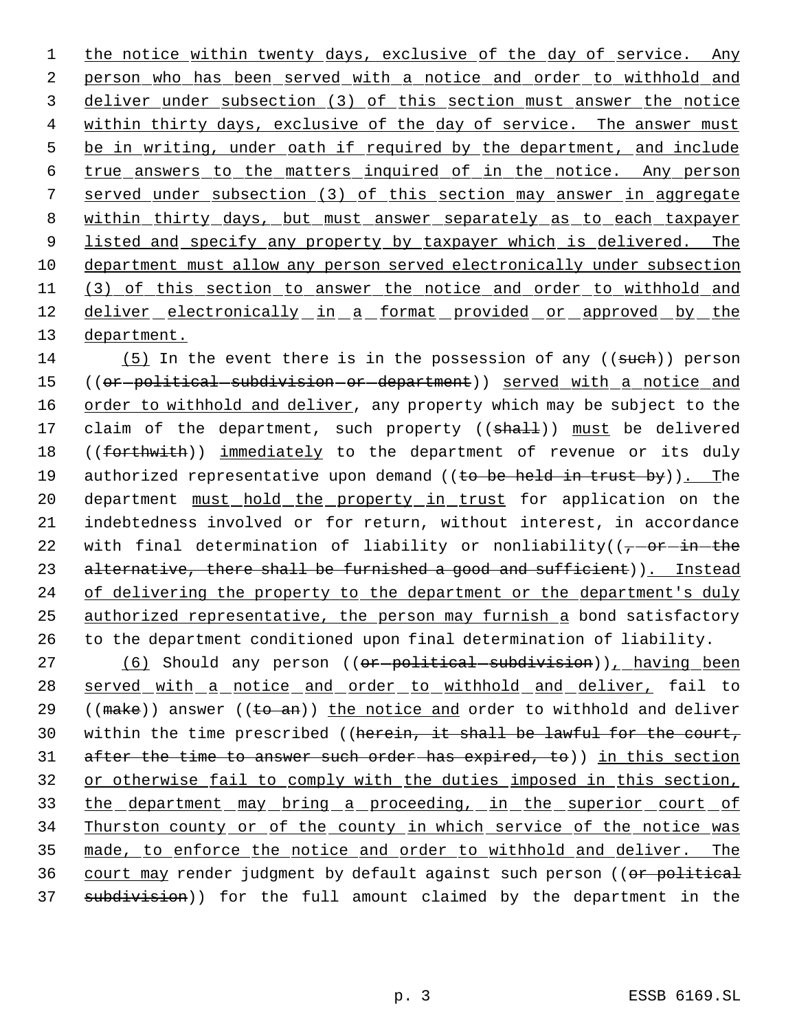1 the notice within twenty days, exclusive of the day of service. Any 2 person who has been served with a notice and order to withhold and 3 deliver under subsection (3) of this section must answer the notice 4 within thirty days, exclusive of the day of service. The answer must 5 be in writing, under oath if required by the department, and include 6 true answers to the matters inquired of in the notice. Any person 7 served under subsection (3) of this section may answer in aggregate 8 within thirty days, but must answer separately as to each taxpayer 9 listed and specify any property by taxpayer which is delivered. The 10 department must allow any person served electronically under subsection 11 (3) of this section to answer the notice and order to withhold and 12 deliver electronically in a format provided or approved by the 13 department.

14 (5) In the event there is in the possession of any ((such)) person 15 ((or-political-subdivision-or-department)) served with a notice and 16 order to withhold and deliver, any property which may be subject to the 17 claim of the department, such property ((shall)) must be delivered 18 ((forthwith)) immediately to the department of revenue or its duly 19 authorized representative upon demand ((to be held in trust by)). The 20 department must hold the property in trust for application on the 21 indebtedness involved or for return, without interest, in accordance 22 with final determination of liability or nonliability( $(-\sigma r - i\hbar - the$ 23 alternative, there shall be furnished a good and sufficient)). Instead 24 of delivering the property to the department or the department's duly 25 authorized representative, the person may furnish a bond satisfactory 26 to the department conditioned upon final determination of liability.

27 (6) Should any person ((or-political-subdivision)), having been 28 served with a notice and order to withhold and deliver, fail to 29 (( $\text{make}$ )) answer (( $\text{to}$  an)) the notice and order to withhold and deliver 30 within the time prescribed ((herein, it shall be lawful for the court, 31 after the time to answer such order has expired, to)) in this section 32 or otherwise fail to comply with the duties imposed in this section, 33 the department may bring a proceeding, in the superior court of 34 Thurston county or of the county in which service of the notice was 35 made, to enforce the notice and order to withhold and deliver. The 36 court may render judgment by default against such person ((or political 37 subdivision)) for the full amount claimed by the department in the